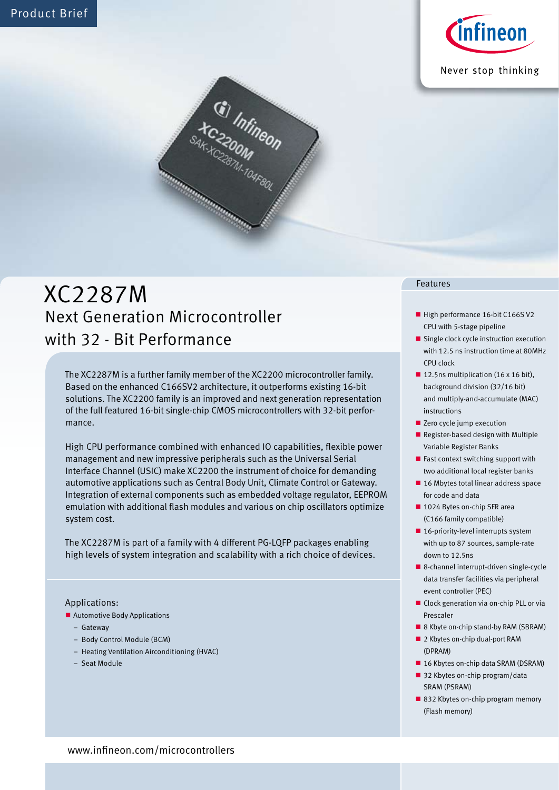

Never stop thinking



# XC2287M Next Generation Microcontroller with 32 - Bit Performance

The XC2287M is a further family member of the XC2200 microcontroller family. Based on the enhanced C166SV2 architecture, it outperforms existing 16-bit solutions. The XC2200 family is an improved and next generation representation of the full featured 16-bit single-chip CMOS microcontrollers with 32-bit performance.

High CPU performance combined with enhanced IO capabilities, flexible power management and new impressive peripherals such as the Universal Serial Interface Channel (USIC) make XC2200 the instrument of choice for demanding automotive applications such as Central Body Unit, Climate Control or Gateway. Integration of external components such as embedded voltage regulator, EEPROM emulation with additional flash modules and various on chip oscillators optimize system cost.

The XC2287M is part of a family with 4 different PG-LQFP packages enabling high levels of system integration and scalability with a rich choice of devices.

### Applications:

- Automotive Body Applications
	- Gateway
	- Body Control Module (BCM)
	- Heating Ventilation Airconditioning (HVAC)
	- Seat Module

#### Features

- High performance 16-bit C166SV2 CPU with 5-stage pipeline
- Single clock cycle instruction execution with 12.5 ns instruction time at 80MHz CPU clock
- 12.5ns multiplication (16 x 16 bit), background division (32/16 bit) and multiply-and-accumulate (MAC) instructions
- Zero cycle jump execution
- Register-based design with Multiple Variable Register Banks
- $\blacksquare$  Fast context switching support with two additional local register banks
- 16 Mbytes total linear address space for code and data
- 1024 Bytes on-chip SFR area (C166 family compatible)
- $\blacksquare$  16-priority-level interrupts system with up to 87 sources, sample-rate down to 12.5ns
- 8-channel interrupt-driven single-cycle data transfer facilities via peripheral event controller (PEC)
- Clock generation via on-chip PLL or via Prescaler
- 8 Kbyte on-chip stand-by RAM (SBRAM)
- 2 Kbytes on-chip dual-port RAM (DPRAM)
- 16 Kbytes on-chip data SRAM (DSRAM)
- 32 Kbytes on-chip program/data SRAM (PSRAM)
- 832 Kbytes on-chip program memory (Flash memory)